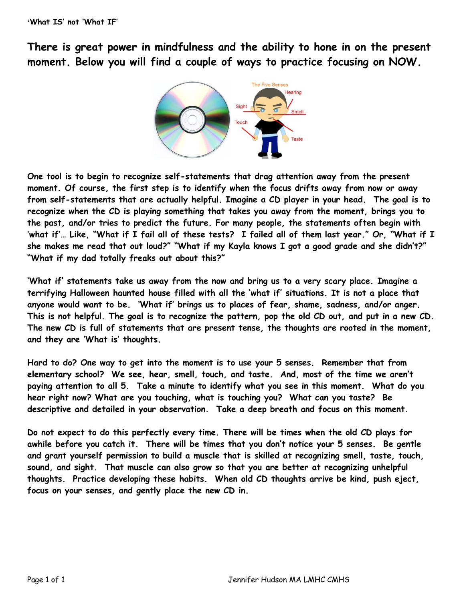**There is great power in mindfulness and the ability to hone in on the present moment. Below you will find a couple of ways to practice focusing on NOW.**



**One tool is to begin to recognize self-statements that drag attention away from the present moment. Of course, the first step is to identify when the focus drifts away from now or away from self-statements that are actually helpful. Imagine a CD player in your head. The goal is to recognize when the CD is playing something that takes you away from the moment, brings you to the past, and/or tries to predict the future. For many people, the statements often begin with 'what if'… Like, "What if I fail all of these tests? I failed all of them last year." Or, "What if I she makes me read that out loud?" "What if my Kayla knows I got a good grade and she didn't?" "What if my dad totally freaks out about this?"**

**'What if' statements take us away from the now and bring us to a very scary place. Imagine a terrifying Halloween haunted house filled with all the 'what if' situations. It is not a place that anyone would want to be. 'What if' brings us to places of fear, shame, sadness, and/or anger. This is not helpful. The goal is to recognize the pattern, pop the old CD out, and put in a new CD. The new CD is full of statements that are present tense, the thoughts are rooted in the moment, and they are 'What is' thoughts.** 

**Hard to do? One way to get into the moment is to use your 5 senses. Remember that from elementary school? We see, hear, smell, touch, and taste. And, most of the time we aren't paying attention to all 5. Take a minute to identify what you see in this moment. What do you hear right now? What are you touching, what is touching you? What can you taste? Be descriptive and detailed in your observation. Take a deep breath and focus on this moment.**

**Do not expect to do this perfectly every time. There will be times when the old CD plays for awhile before you catch it. There will be times that you don't notice your 5 senses. Be gentle and grant yourself permission to build a muscle that is skilled at recognizing smell, taste, touch, sound, and sight. That muscle can also grow so that you are better at recognizing unhelpful thoughts. Practice developing these habits. When old CD thoughts arrive be kind, push eject, focus on your senses, and gently place the new CD in.**